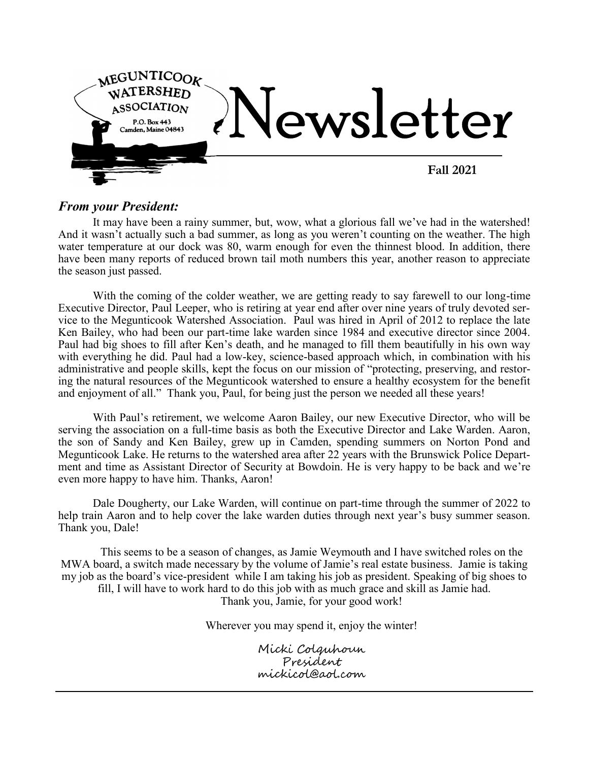

## *From your President:*

It may have been a rainy summer, but, wow, what a glorious fall we've had in the watershed! And it wasn't actually such a bad summer, as long as you weren't counting on the weather. The high water temperature at our dock was 80, warm enough for even the thinnest blood. In addition, there have been many reports of reduced brown tail moth numbers this year, another reason to appreciate the season just passed.

With the coming of the colder weather, we are getting ready to say farewell to our long-time Executive Director, Paul Leeper, who is retiring at year end after over nine years of truly devoted service to the Megunticook Watershed Association. Paul was hired in April of 2012 to replace the late Ken Bailey, who had been our part-time lake warden since 1984 and executive director since 2004. Paul had big shoes to fill after Ken's death, and he managed to fill them beautifully in his own way with everything he did. Paul had a low-key, science-based approach which, in combination with his administrative and people skills, kept the focus on our mission of "protecting, preserving, and restoring the natural resources of the Megunticook watershed to ensure a healthy ecosystem for the benefit and enjoyment of all." Thank you, Paul, for being just the person we needed all these years!

With Paul's retirement, we welcome Aaron Bailey, our new Executive Director, who will be serving the association on a full-time basis as both the Executive Director and Lake Warden. Aaron, the son of Sandy and Ken Bailey, grew up in Camden, spending summers on Norton Pond and Megunticook Lake. He returns to the watershed area after 22 years with the Brunswick Police Department and time as Assistant Director of Security at Bowdoin. He is very happy to be back and we're even more happy to have him. Thanks, Aaron!

Dale Dougherty, our Lake Warden, will continue on part-time through the summer of 2022 to help train Aaron and to help cover the lake warden duties through next year's busy summer season. Thank you, Dale!

This seems to be a season of changes, as Jamie Weymouth and I have switched roles on the MWA board, a switch made necessary by the volume of Jamie's real estate business. Jamie is taking my job as the board's vice-president while I am taking his job as president. Speaking of big shoes to fill, I will have to work hard to do this job with as much grace and skill as Jamie had. Thank you, Jamie, for your good work!

Wherever you may spend it, enjoy the winter!

Micki Colquhoun President mickicol@aol.com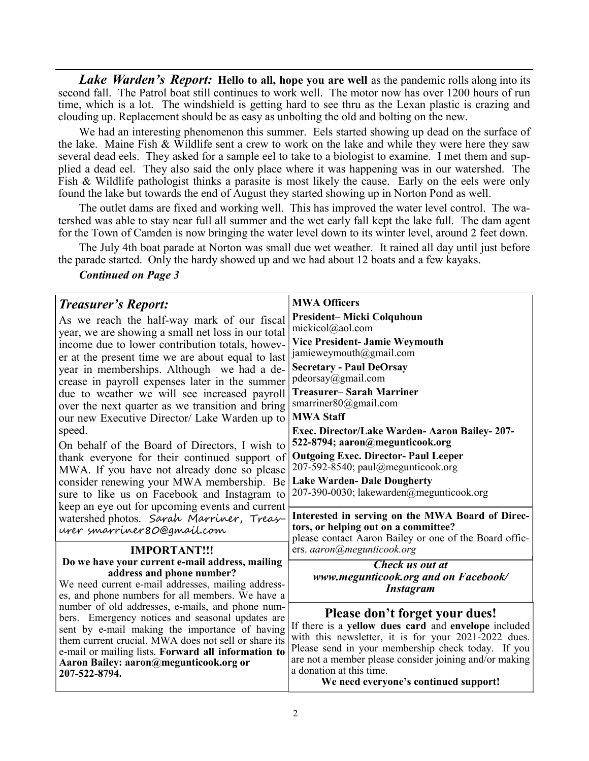*Lake Warden's Report:* **Hello to all, hope you are well** as the pandemic rolls along into its second fall. The Patrol boat still continues to work well. The motor now has over 1200 hours of run time, which is a lot. The windshield is getting hard to see thru as the Lexan plastic is crazing and clouding up. Replacement should be as easy as unbolting the old and bolting on the new.

We had an interesting phenomenon this summer. Eels started showing up dead on the surface of the lake. Maine Fish & Wildlife sent a crew to work on the lake and while they were here they saw several dead eels. They asked for a sample eel to take to a biologist to examine. I met them and supplied a dead eel. They also said the only place where it was happening was in our watershed. The Fish & Wildlife pathologist thinks a parasite is most likely the cause. Early on the eels were only found the lake but towards the end of August they started showing up in Norton Pond as well.

The outlet dams are fixed and working well. This has improved the water level control. The watershed was able to stay near full all summer and the wet early fall kept the lake full. The dam agent for the Town of Camden is now bringing the water level down to its winter level, around 2 feet down.

The July 4th boat parade at Norton was small due wet weather. It rained all day until just before the parade started. Only the hardy showed up and we had about 12 boats and a few kayaks.

*Continued on Page 3* 

| <b>Treasurer's Report:</b>                                                                           | <b>MWA Officers</b>                                                                                        |
|------------------------------------------------------------------------------------------------------|------------------------------------------------------------------------------------------------------------|
| As we reach the half-way mark of our fiscal                                                          | President-Micki Colquhoun                                                                                  |
| year, we are showing a small net loss in our total                                                   | mickicol@aol.com                                                                                           |
| income due to lower contribution totals, howev-                                                      | <b>Vice President- Jamie Weymouth</b>                                                                      |
| er at the present time we are about equal to last                                                    | jamieweymouth@gmail.com                                                                                    |
| year in memberships. Although we had a de-                                                           | <b>Secretary - Paul DeOrsay</b><br>pdeorsay@gmail.com                                                      |
| crease in payroll expenses later in the summer                                                       | <b>Treasurer-Sarah Marriner</b>                                                                            |
| due to weather we will see increased payroll                                                         | smarriner80@gmail.com                                                                                      |
| over the next quarter as we transition and bring<br>our new Executive Director/ Lake Warden up to    | <b>MWA Staff</b>                                                                                           |
| speed.                                                                                               | Exec. Director/Lake Warden- Aaron Bailey- 207-                                                             |
|                                                                                                      | 522-8794; aaron@megunticook.org                                                                            |
| On behalf of the Board of Directors, I wish to<br>thank everyone for their continued support of      | <b>Outgoing Exec. Director- Paul Leeper</b>                                                                |
| MWA. If you have not already done so please                                                          | 207-592-8540; paul@megunticook.org                                                                         |
| consider renewing your MWA membership. Be                                                            | <b>Lake Warden- Dale Dougherty</b>                                                                         |
| sure to like us on Facebook and Instagram to                                                         | 207-390-0030; lakewarden@megunticook.org                                                                   |
| keep an eye out for upcoming events and current                                                      |                                                                                                            |
| watershed photos. Sarah Marriner, Treas-                                                             | Interested in serving on the MWA Board of Direc-                                                           |
| urer smarriner 80@gmail.com                                                                          | tors, or helping out on a committee?<br>please contact Aaron Bailey or one of the Board offic-             |
| <b>IMPORTANT!!!</b>                                                                                  | ers. aaron@megunticook.org                                                                                 |
| Do we have your current e-mail address, mailing                                                      | <b>Check us out at</b>                                                                                     |
| address and phone number?                                                                            | www.megunticook.org and on Facebook/                                                                       |
| We need current e-mail addresses, mailing address-                                                   | <b>Instagram</b>                                                                                           |
| es, and phone numbers for all members. We have a<br>number of old addresses, e-mails, and phone num- |                                                                                                            |
| bers. Emergency notices and seasonal updates are                                                     | Please don't forget your dues!                                                                             |
| sent by e-mail making the importance of having                                                       | If there is a yellow dues card and envelope included                                                       |
| them current crucial. MWA does not sell or share its                                                 | with this newsletter, it is for your 2021-2022 dues.<br>Please send in your membership check today. If you |
| e-mail or mailing lists. Forward all information to                                                  | are not a member please consider joining and/or making                                                     |
| Aaron Bailey: aaron@megunticook.org or<br>207-522-8794.                                              | a donation at this time.                                                                                   |
|                                                                                                      | We need everyone's continued support!                                                                      |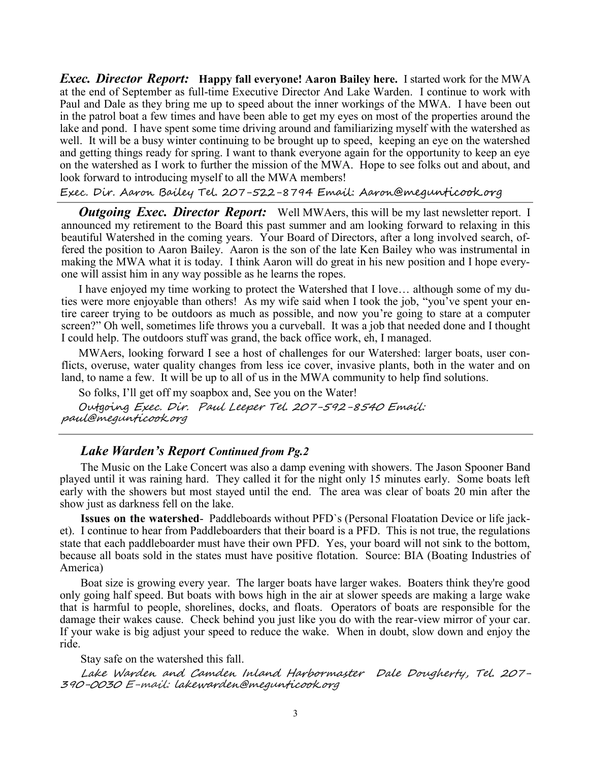*Exec. Director Report:* **Happy fall everyone! Aaron Bailey here.** I started work for the MWA at the end of September as full-time Executive Director And Lake Warden. I continue to work with Paul and Dale as they bring me up to speed about the inner workings of the MWA. I have been out in the patrol boat a few times and have been able to get my eyes on most of the properties around the lake and pond. I have spent some time driving around and familiarizing myself with the watershed as well. It will be a busy winter continuing to be brought up to speed, keeping an eye on the watershed and getting things ready for spring. I want to thank everyone again for the opportunity to keep an eye on the watershed as I work to further the mission of the MWA. Hope to see folks out and about, and look forward to introducing myself to all the MWA members!

## Exec. Dir. Aaron Bailey Tel. 207-522-8794 Email: Aaron@megunticook.org

*Outgoing Exec. Director Report:* Well MWAers, this will be my last newsletter report. I announced my retirement to the Board this past summer and am looking forward to relaxing in this beautiful Watershed in the coming years. Your Board of Directors, after a long involved search, offered the position to Aaron Bailey. Aaron is the son of the late Ken Bailey who was instrumental in making the MWA what it is today. I think Aaron will do great in his new position and I hope everyone will assist him in any way possible as he learns the ropes.

I have enjoyed my time working to protect the Watershed that I love… although some of my duties were more enjoyable than others! As my wife said when I took the job, "you've spent your entire career trying to be outdoors as much as possible, and now you're going to stare at a computer screen?" Oh well, sometimes life throws you a curveball. It was a job that needed done and I thought I could help. The outdoors stuff was grand, the back office work, eh, I managed.

MWAers, looking forward I see a host of challenges for our Watershed: larger boats, user conflicts, overuse, water quality changes from less ice cover, invasive plants, both in the water and on land, to name a few. It will be up to all of us in the MWA community to help find solutions.

So folks, I'll get off my soapbox and, See you on the Water!

Outgoing Exec. Dir. Paul Leeper Tel. 207-592-8540 Email: paul@megunticook.org

## *Lake Warden's Report Continued from Pg.2*

The Music on the Lake Concert was also a damp evening with showers. The Jason Spooner Band played until it was raining hard. They called it for the night only 15 minutes early. Some boats left early with the showers but most stayed until the end. The area was clear of boats 20 min after the show just as darkness fell on the lake.

**Issues on the watershed**- Paddleboards without PFD`s (Personal Floatation Device or life jacket). I continue to hear from Paddleboarders that their board is a PFD. This is not true, the regulations state that each paddleboarder must have their own PFD. Yes, your board will not sink to the bottom, because all boats sold in the states must have positive flotation. Source: BIA (Boating Industries of America)

Boat size is growing every year. The larger boats have larger wakes. Boaters think they're good only going half speed. But boats with bows high in the air at slower speeds are making a large wake that is harmful to people, shorelines, docks, and floats. Operators of boats are responsible for the damage their wakes cause. Check behind you just like you do with the rear-view mirror of your car. If your wake is big adjust your speed to reduce the wake. When in doubt, slow down and enjoy the ride.

Stay safe on the watershed this fall.

Lake Warden and Camden Inland Harbormaster Dale Dougherty, Tel. 207- <sup>390</sup>-0030 E-mail: lakewarden@megunticook.org